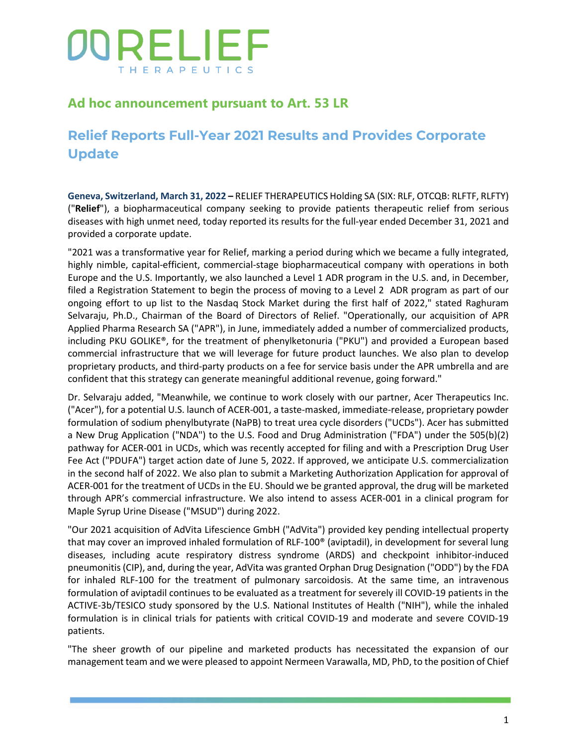## **Ad hoc announcement pursuant to Art. 53 LR**

## **Relief Reports Full-Year 2021 Results and Provides Corporate Update**

**Geneva, Switzerland, March 31, 2022 –** RELIEF THERAPEUTICS Holding SA (SIX: RLF, OTCQB: RLFTF, RLFTY) ("**Relief**"), a biopharmaceutical company seeking to provide patients therapeutic relief from serious diseases with high unmet need, today reported its results for the full-year ended December 31, 2021 and provided a corporate update.

"2021 was a transformative year for Relief, marking a period during which we became a fully integrated, highly nimble, capital-efficient, commercial-stage biopharmaceutical company with operations in both Europe and the U.S. Importantly, we also launched a Level 1 ADR program in the U.S. and, in December, filed a Registration Statement to begin the process of moving to a Level 2 ADR program as part of our ongoing effort to up list to the Nasdaq Stock Market during the first half of 2022," stated Raghuram Selvaraju, Ph.D., Chairman of the Board of Directors of Relief. "Operationally, our acquisition of APR Applied Pharma Research SA ("APR"), in June, immediately added a number of commercialized products, including PKU GOLIKE®, for the treatment of phenylketonuria ("PKU") and provided a European based commercial infrastructure that we will leverage for future product launches. We also plan to develop proprietary products, and third-party products on a fee for service basis under the APR umbrella and are confident that this strategy can generate meaningful additional revenue, going forward."

Dr. Selvaraju added, "Meanwhile, we continue to work closely with our partner, Acer Therapeutics Inc. ("Acer"), for a potential U.S. launch of ACER-001, a taste-masked, immediate-release, proprietary powder formulation of sodium phenylbutyrate (NaPB) to treat urea cycle disorders ("UCDs"). Acer has submitted a New Drug Application ("NDA") to the U.S. Food and Drug Administration ("FDA") under the 505(b)(2) pathway for ACER-001 in UCDs, which was recently accepted for filing and with a Prescription Drug User Fee Act ("PDUFA") target action date of June 5, 2022. If approved, we anticipate U.S. commercialization in the second half of 2022. We also plan to submit a Marketing Authorization Application for approval of ACER-001 for the treatment of UCDs in the EU. Should we be granted approval, the drug will be marketed through APR's commercial infrastructure. We also intend to assess ACER-001 in a clinical program for Maple Syrup Urine Disease ("MSUD") during 2022.

"Our 2021 acquisition of AdVita Lifescience GmbH ("AdVita") provided key pending intellectual property that may cover an improved inhaled formulation of RLF-100® (aviptadil), in development for several lung diseases, including acute respiratory distress syndrome (ARDS) and checkpoint inhibitor-induced pneumonitis (CIP), and, during the year, AdVita was granted Orphan Drug Designation ("ODD") by the FDA for inhaled RLF-100 for the treatment of pulmonary sarcoidosis. At the same time, an intravenous formulation of aviptadil continues to be evaluated as a treatment for severely ill COVID-19 patients in the ACTIVE-3b/TESICO study sponsored by the U.S. National Institutes of Health ("NIH"), while the inhaled formulation is in clinical trials for patients with critical COVID-19 and moderate and severe COVID-19 patients.

"The sheer growth of our pipeline and marketed products has necessitated the expansion of our management team and we were pleased to appoint Nermeen Varawalla, MD, PhD, to the position of Chief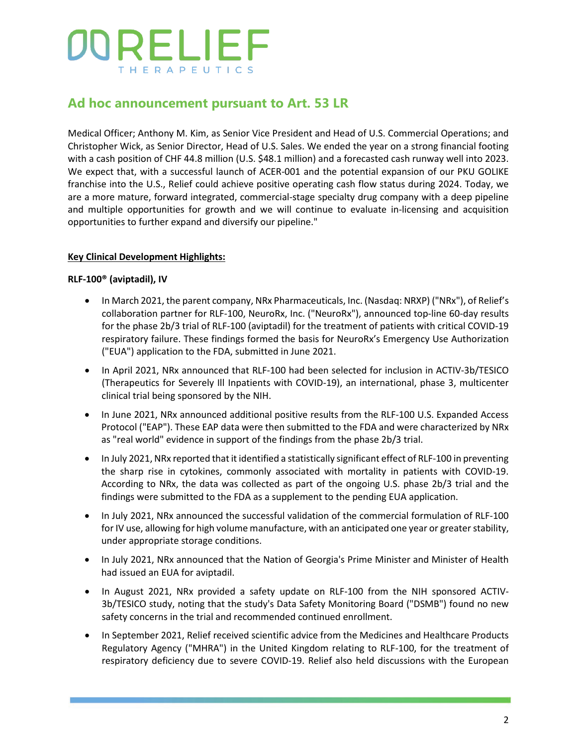## **Ad hoc announcement pursuant to Art. 53 LR**

Medical Officer; Anthony M. Kim, as Senior Vice President and Head of U.S. Commercial Operations; and Christopher Wick, as Senior Director, Head of U.S. Sales. We ended the year on a strong financial footing with a cash position of CHF 44.8 million (U.S. \$48.1 million) and a forecasted cash runway well into 2023. We expect that, with a successful launch of ACER-001 and the potential expansion of our PKU GOLIKE franchise into the U.S., Relief could achieve positive operating cash flow status during 2024. Today, we are a more mature, forward integrated, commercial-stage specialty drug company with a deep pipeline and multiple opportunities for growth and we will continue to evaluate in-licensing and acquisition opportunities to further expand and diversify our pipeline."

### **Key Clinical Development Highlights:**

#### **RLF-100® (aviptadil), IV**

- In March 2021, the parent company, NRx Pharmaceuticals, Inc. (Nasdaq: NRXP) ("NRx"), of Relief's collaboration partner for RLF-100, NeuroRx, Inc. ("NeuroRx"), announced top-line 60-day results for the phase 2b/3 trial of RLF-100 (aviptadil) for the treatment of patients with critical COVID-19 respiratory failure. These findings formed the basis for NeuroRx's Emergency Use Authorization ("EUA") application to the FDA, submitted in June 2021.
- In April 2021, NRx announced that RLF-100 had been selected for inclusion in ACTIV-3b/TESICO (Therapeutics for Severely Ill Inpatients with COVID-19), an international, phase 3, multicenter clinical trial being sponsored by the NIH.
- In June 2021, NRx announced additional positive results from the RLF-100 U.S. Expanded Access Protocol ("EAP"). These EAP data were then submitted to the FDA and were characterized by NRx as "real world" evidence in support of the findings from the phase 2b/3 trial.
- In July 2021, NRx reported that it identified a statistically significant effect of RLF-100 in preventing the sharp rise in cytokines, commonly associated with mortality in patients with COVID-19. According to NRx, the data was collected as part of the ongoing U.S. phase 2b/3 trial and the findings were submitted to the FDA as a supplement to the pending EUA application.
- In July 2021, NRx announced the successful validation of the commercial formulation of RLF-100 for IV use, allowing for high volume manufacture, with an anticipated one year or greater stability, under appropriate storage conditions.
- In July 2021, NRx announced that the Nation of Georgia's Prime Minister and Minister of Health had issued an EUA for aviptadil.
- In August 2021, NRx provided a safety update on RLF-100 from the NIH sponsored ACTIV-3b/TESICO study, noting that the study's Data Safety Monitoring Board ("DSMB") found no new safety concerns in the trial and recommended continued enrollment.
- In September 2021, Relief received scientific advice from the Medicines and Healthcare Products Regulatory Agency ("MHRA") in the United Kingdom relating to RLF-100, for the treatment of respiratory deficiency due to severe COVID-19. Relief also held discussions with the European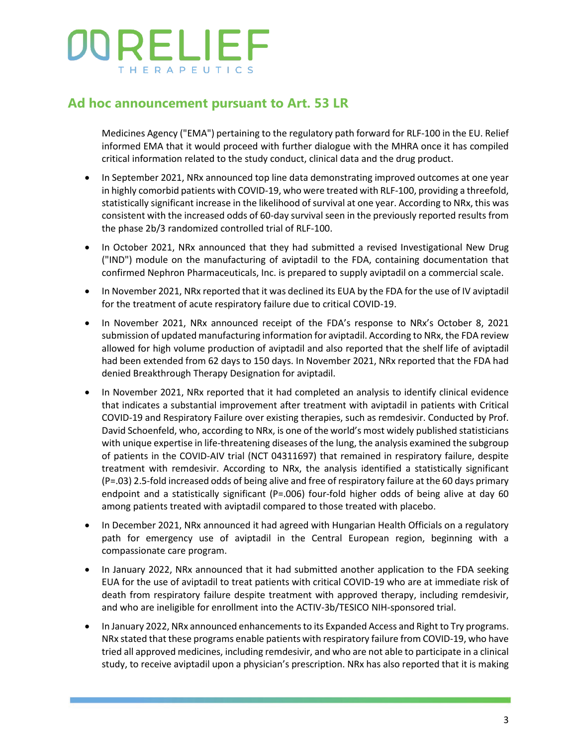### **Ad hoc announcement pursuant to Art. 53 LR**

Medicines Agency ("EMA") pertaining to the regulatory path forward for RLF-100 in the EU. Relief informed EMA that it would proceed with further dialogue with the MHRA once it has compiled critical information related to the study conduct, clinical data and the drug product.

- In September 2021, NRx announced top line data demonstrating improved outcomes at one year in highly comorbid patients with COVID-19, who were treated with RLF-100, providing a threefold, statistically significant increase in the likelihood of survival at one year. According to NRx, this was consistent with the increased odds of 60-day survival seen in the previously reported results from the phase 2b/3 randomized controlled trial of RLF-100.
- In October 2021, NRx announced that they had submitted a revised Investigational New Drug ("IND") module on the manufacturing of aviptadil to the FDA, containing documentation that confirmed Nephron Pharmaceuticals, Inc. is prepared to supply aviptadil on a commercial scale.
- In November 2021, NRx reported that it was declined its EUA by the FDA for the use of IV aviptadil for the treatment of acute respiratory failure due to critical COVID-19.
- In November 2021, NRx announced receipt of the FDA's response to NRx's October 8, 2021 submission of updated manufacturing information for aviptadil. According to NRx, the FDA review allowed for high volume production of aviptadil and also reported that the shelf life of aviptadil had been extended from 62 days to 150 days. In November 2021, NRx reported that the FDA had denied Breakthrough Therapy Designation for aviptadil.
- In November 2021, NRx reported that it had completed an analysis to identify clinical evidence that indicates a substantial improvement after treatment with aviptadil in patients with Critical COVID-19 and Respiratory Failure over existing therapies, such as remdesivir. Conducted by Prof. David Schoenfeld, who, according to NRx, is one of the world's most widely published statisticians with unique expertise in life-threatening diseases of the lung, the analysis examined the subgroup of patients in the COVID-AIV trial (NCT 04311697) that remained in respiratory failure, despite treatment with remdesivir. According to NRx, the analysis identified a statistically significant (P=.03) 2.5-fold increased odds of being alive and free of respiratory failure at the 60 days primary endpoint and a statistically significant (P=.006) four-fold higher odds of being alive at day 60 among patients treated with aviptadil compared to those treated with placebo.
- In December 2021, NRx announced it had agreed with Hungarian Health Officials on a regulatory path for emergency use of aviptadil in the Central European region, beginning with a compassionate care program.
- In January 2022, NRx announced that it had submitted another application to the FDA seeking EUA for the use of aviptadil to treat patients with critical COVID-19 who are at immediate risk of death from respiratory failure despite treatment with approved therapy, including remdesivir, and who are ineligible for enrollment into the ACTIV-3b/TESICO NIH-sponsored trial.
- In January 2022, NRx announced enhancements to its Expanded Access and Right to Try programs. NRx stated that these programs enable patients with respiratory failure from COVID-19, who have tried all approved medicines, including remdesivir, and who are not able to participate in a clinical study, to receive aviptadil upon a physician's prescription. NRx has also reported that it is making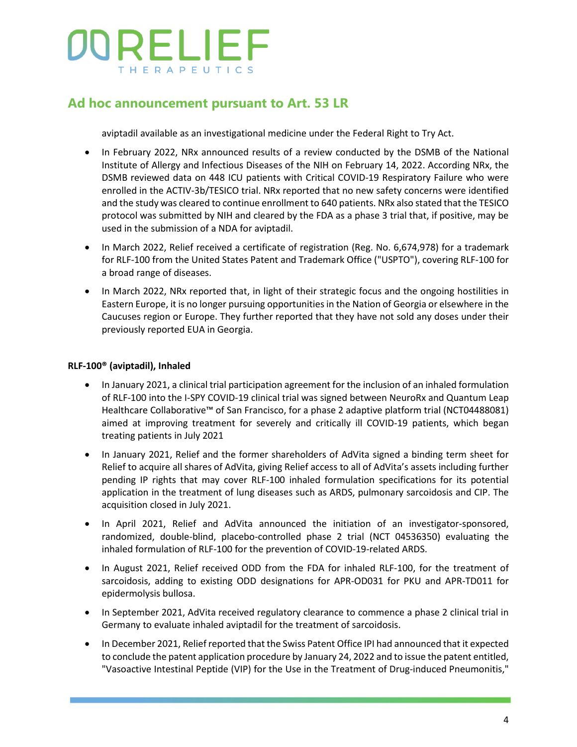### **Ad hoc announcement pursuant to Art. 53 LR**

aviptadil available as an investigational medicine under the Federal Right to Try Act.

- In February 2022, NRx announced results of a review conducted by the DSMB of the National Institute of Allergy and Infectious Diseases of the NIH on February 14, 2022. According NRx, the DSMB reviewed data on 448 ICU patients with Critical COVID-19 Respiratory Failure who were enrolled in the ACTIV-3b/TESICO trial. NRx reported that no new safety concerns were identified and the study was cleared to continue enrollment to 640 patients. NRx also stated that the TESICO protocol was submitted by NIH and cleared by the FDA as a phase 3 trial that, if positive, may be used in the submission of a NDA for aviptadil.
- In March 2022, Relief received a certificate of registration (Reg. No. 6,674,978) for a trademark for RLF-100 from the United States Patent and Trademark Office ("USPTO"), covering RLF-100 for a broad range of diseases.
- In March 2022, NRx reported that, in light of their strategic focus and the ongoing hostilities in Eastern Europe, it is no longer pursuing opportunities in the Nation of Georgia or elsewhere in the Caucuses region or Europe. They further reported that they have not sold any doses under their previously reported EUA in Georgia.

#### **RLF-100® (aviptadil), Inhaled**

- In January 2021, a clinical trial participation agreement for the inclusion of an inhaled formulation of RLF-100 into the I-SPY COVID-19 clinical trial was signed between NeuroRx and Quantum Leap Healthcare Collaborative™ of San Francisco, for a phase 2 adaptive platform trial (NCT04488081) aimed at improving treatment for severely and critically ill COVID-19 patients, which began treating patients in July 2021
- In January 2021, Relief and the former shareholders of AdVita signed a binding term sheet for Relief to acquire all shares of AdVita, giving Relief access to all of AdVita's assets including further pending IP rights that may cover RLF-100 inhaled formulation specifications for its potential application in the treatment of lung diseases such as ARDS, pulmonary sarcoidosis and CIP. The acquisition closed in July 2021.
- In April 2021, Relief and AdVita announced the initiation of an investigator-sponsored, randomized, double-blind, placebo-controlled phase 2 trial (NCT 04536350) evaluating the inhaled formulation of RLF-100 for the prevention of COVID-19-related ARDS.
- In August 2021, Relief received ODD from the FDA for inhaled RLF-100, for the treatment of sarcoidosis, adding to existing ODD designations for APR-OD031 for PKU and APR-TD011 for epidermolysis bullosa.
- In September 2021, AdVita received regulatory clearance to commence a phase 2 clinical trial in Germany to evaluate inhaled aviptadil for the treatment of sarcoidosis.
- In December 2021, Relief reported that the Swiss Patent Office IPI had announced that it expected to conclude the patent application procedure by January 24, 2022 and to issue the patent entitled, "Vasoactive Intestinal Peptide (VIP) for the Use in the Treatment of Drug-induced Pneumonitis,"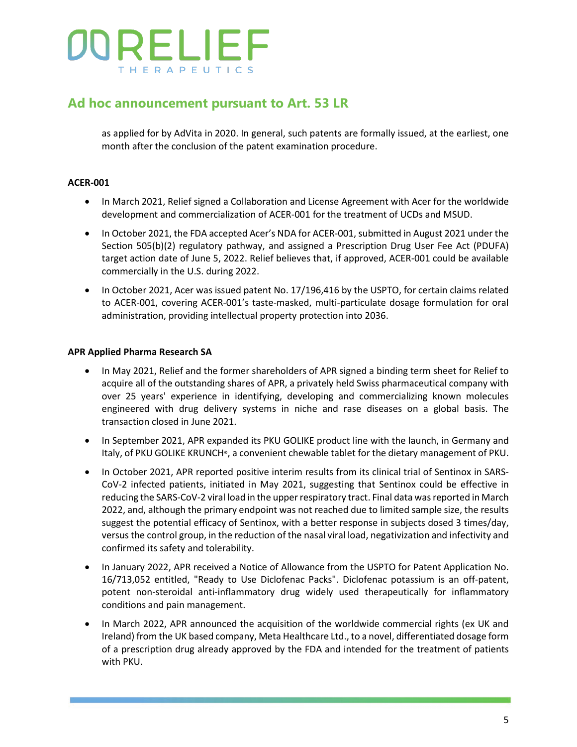## **Ad hoc announcement pursuant to Art. 53 LR**

as applied for by AdVita in 2020. In general, such patents are formally issued, at the earliest, one month after the conclusion of the patent examination procedure.

### **ACER-001**

- In March 2021, Relief signed a Collaboration and License Agreement with Acer for the worldwide development and commercialization of ACER-001 for the treatment of UCDs and MSUD.
- In October 2021, the FDA accepted Acer's NDA for ACER-001, submitted in August 2021 under the Section 505(b)(2) regulatory pathway, and assigned a Prescription Drug User Fee Act (PDUFA) target action date of June 5, 2022. Relief believes that, if approved, ACER-001 could be available commercially in the U.S. during 2022.
- In October 2021, Acer was issued patent No. 17/196,416 by the USPTO, for certain claims related to ACER-001, covering ACER-001's taste-masked, multi-particulate dosage formulation for oral administration, providing intellectual property protection into 2036.

### **APR Applied Pharma Research SA**

- In May 2021, Relief and the former shareholders of APR signed a binding term sheet for Relief to acquire all of the outstanding shares of APR, a privately held Swiss pharmaceutical company with over 25 years' experience in identifying, developing and commercializing known molecules engineered with drug delivery systems in niche and rase diseases on a global basis. The transaction closed in June 2021.
- In September 2021, APR expanded its PKU GOLIKE product line with the launch, in Germany and Italy, of PKU GOLIKE KRUNCH®, a convenient chewable tablet for the dietary management of PKU.
- In October 2021, APR reported positive interim results from its clinical trial of Sentinox in SARS-CoV-2 infected patients, initiated in May 2021, suggesting that Sentinox could be effective in reducing the SARS-CoV-2 viral load in the upper respiratory tract. Final data was reported in March 2022, and, although the primary endpoint was not reached due to limited sample size, the results suggest the potential efficacy of Sentinox, with a better response in subjects dosed 3 times/day, versus the control group, in the reduction of the nasal viral load, negativization and infectivity and confirmed its safety and tolerability.
- In January 2022, APR received a Notice of Allowance from the USPTO for Patent Application No. 16/713,052 entitled, "Ready to Use Diclofenac Packs". Diclofenac potassium is an off-patent, potent non-steroidal anti-inflammatory drug widely used therapeutically for inflammatory conditions and pain management.
- In March 2022, APR announced the acquisition of the worldwide commercial rights (ex UK and Ireland) from the UK based company, Meta Healthcare Ltd., to a novel, differentiated dosage form of a prescription drug already approved by the FDA and intended for the treatment of patients with PKU.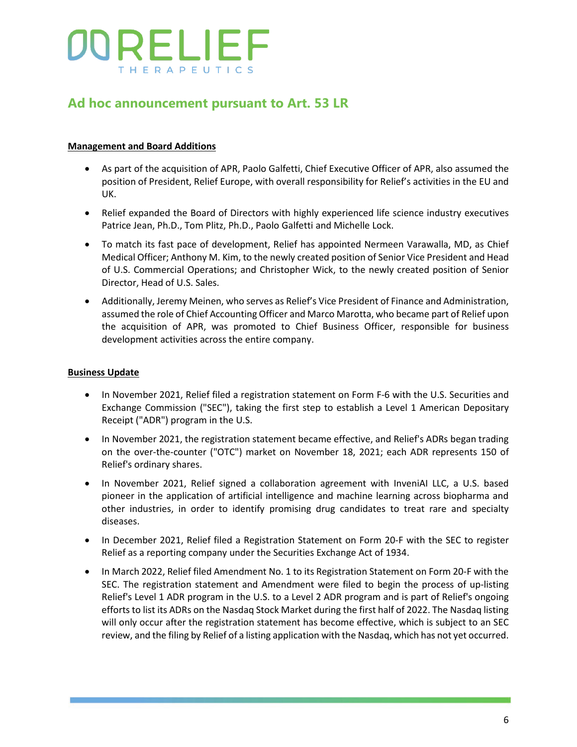## **Ad hoc announcement pursuant to Art. 53 LR**

### **Management and Board Additions**

- As part of the acquisition of APR, Paolo Galfetti, Chief Executive Officer of APR, also assumed the position of President, Relief Europe, with overall responsibility for Relief's activities in the EU and UK.
- Relief expanded the Board of Directors with highly experienced life science industry executives Patrice Jean, Ph.D., Tom Plitz, Ph.D., Paolo Galfetti and Michelle Lock.
- To match its fast pace of development, Relief has appointed Nermeen Varawalla, MD, as Chief Medical Officer; Anthony M. Kim, to the newly created position of Senior Vice President and Head of U.S. Commercial Operations; and Christopher Wick, to the newly created position of Senior Director, Head of U.S. Sales.
- Additionally, Jeremy Meinen, who serves as Relief's Vice President of Finance and Administration, assumed the role of Chief Accounting Officer and Marco Marotta, who became part of Relief upon the acquisition of APR, was promoted to Chief Business Officer, responsible for business development activities across the entire company.

#### **Business Update**

- In November 2021, Relief filed a registration statement on Form F-6 with the U.S. Securities and Exchange Commission ("SEC"), taking the first step to establish a Level 1 American Depositary Receipt ("ADR") program in the U.S.
- In November 2021, the registration statement became effective, and Relief's ADRs began trading on the over-the-counter ("OTC") market on November 18, 2021; each ADR represents 150 of Relief's ordinary shares.
- In November 2021, Relief signed a collaboration agreement with InveniAI LLC, a U.S. based pioneer in the application of artificial intelligence and machine learning across biopharma and other industries, in order to identify promising drug candidates to treat rare and specialty diseases.
- In December 2021, Relief filed a Registration Statement on Form 20-F with the SEC to register Relief as a reporting company under the Securities Exchange Act of 1934.
- In March 2022, Relief filed Amendment No. 1 to its Registration Statement on Form 20-F with the SEC. The registration statement and Amendment were filed to begin the process of up-listing Relief's Level 1 ADR program in the U.S. to a Level 2 ADR program and is part of Relief's ongoing efforts to list its ADRs on the Nasdaq Stock Market during the first half of 2022. The Nasdaq listing will only occur after the registration statement has become effective, which is subject to an SEC review, and the filing by Relief of a listing application with the Nasdaq, which has not yet occurred.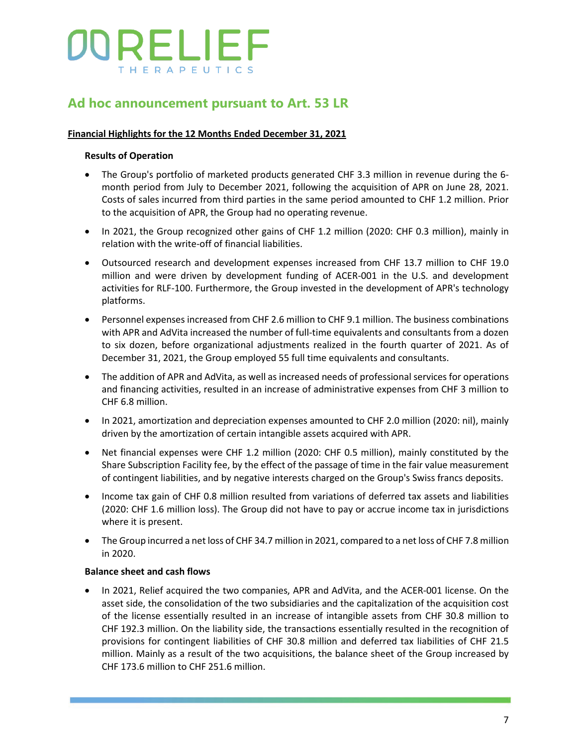## **Ad hoc announcement pursuant to Art. 53 LR**

#### **Financial Highlights for the 12 Months Ended December 31, 2021**

### **Results of Operation**

- The Group's portfolio of marketed products generated CHF 3.3 million in revenue during the 6 month period from July to December 2021, following the acquisition of APR on June 28, 2021. Costs of sales incurred from third parties in the same period amounted to CHF 1.2 million. Prior to the acquisition of APR, the Group had no operating revenue.
- In 2021, the Group recognized other gains of CHF 1.2 million (2020: CHF 0.3 million), mainly in relation with the write-off of financial liabilities.
- Outsourced research and development expenses increased from CHF 13.7 million to CHF 19.0 million and were driven by development funding of ACER-001 in the U.S. and development activities for RLF-100. Furthermore, the Group invested in the development of APR's technology platforms.
- Personnel expenses increased from CHF 2.6 million to CHF 9.1 million. The business combinations with APR and AdVita increased the number of full-time equivalents and consultants from a dozen to six dozen, before organizational adjustments realized in the fourth quarter of 2021. As of December 31, 2021, the Group employed 55 full time equivalents and consultants.
- The addition of APR and AdVita, as well as increased needs of professional services for operations and financing activities, resulted in an increase of administrative expenses from CHF 3 million to CHF 6.8 million.
- In 2021, amortization and depreciation expenses amounted to CHF 2.0 million (2020: nil), mainly driven by the amortization of certain intangible assets acquired with APR.
- Net financial expenses were CHF 1.2 million (2020: CHF 0.5 million), mainly constituted by the Share Subscription Facility fee, by the effect of the passage of time in the fair value measurement of contingent liabilities, and by negative interests charged on the Group's Swiss francs deposits.
- Income tax gain of CHF 0.8 million resulted from variations of deferred tax assets and liabilities (2020: CHF 1.6 million loss). The Group did not have to pay or accrue income tax in jurisdictions where it is present.
- The Group incurred a net loss of CHF 34.7 million in 2021, compared to a net loss of CHF 7.8 million in 2020.

#### **Balance sheet and cash flows**

• In 2021, Relief acquired the two companies, APR and AdVita, and the ACER-001 license. On the asset side, the consolidation of the two subsidiaries and the capitalization of the acquisition cost of the license essentially resulted in an increase of intangible assets from CHF 30.8 million to CHF 192.3 million. On the liability side, the transactions essentially resulted in the recognition of provisions for contingent liabilities of CHF 30.8 million and deferred tax liabilities of CHF 21.5 million. Mainly as a result of the two acquisitions, the balance sheet of the Group increased by CHF 173.6 million to CHF 251.6 million.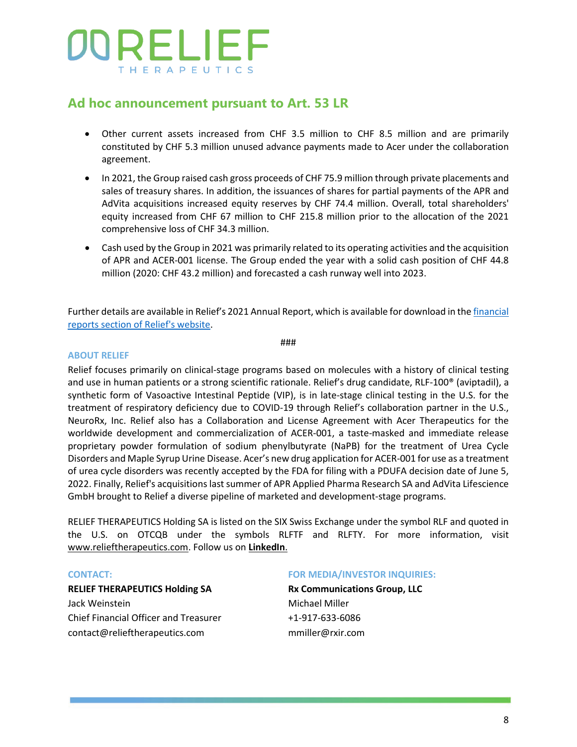### **Ad hoc announcement pursuant to Art. 53 LR**

- Other current assets increased from CHF 3.5 million to CHF 8.5 million and are primarily constituted by CHF 5.3 million unused advance payments made to Acer under the collaboration agreement.
- In 2021, the Group raised cash gross proceeds of CHF 75.9 million through private placements and sales of treasury shares. In addition, the issuances of shares for partial payments of the APR and AdVita acquisitions increased equity reserves by CHF 74.4 million. Overall, total shareholders' equity increased from CHF 67 million to CHF 215.8 million prior to the allocation of the 2021 comprehensive loss of CHF 34.3 million.
- Cash used by the Group in 2021 was primarily related to its operating activities and the acquisition of APR and ACER-001 license. The Group ended the year with a solid cash position of CHF 44.8 million (2020: CHF 43.2 million) and forecasted a cash runway well into 2023.

Further details are available in Relief's 2021 Annual Report, which is available for download in th[e financial](https://relieftherapeutics.com/investor-relations)  [reports section of Relief's website.](https://relieftherapeutics.com/investor-relations)

###

#### **ABOUT RELIEF**

Relief focuses primarily on clinical-stage programs based on molecules with a history of clinical testing and use in human patients or a strong scientific rationale. Relief's drug candidate, RLF-100<sup>®</sup> (aviptadil), a synthetic form of Vasoactive Intestinal Peptide (VIP), is in late-stage clinical testing in the U.S. for the treatment of respiratory deficiency due to COVID-19 through Relief's collaboration partner in the U.S., NeuroRx, Inc. Relief also has a Collaboration and License Agreement with Acer Therapeutics for the worldwide development and commercialization of ACER-001, a taste-masked and immediate release proprietary powder formulation of sodium phenylbutyrate (NaPB) for the treatment of Urea Cycle Disorders and Maple Syrup Urine Disease. Acer's new drug application for ACER-001 for use as a treatment of urea cycle disorders was recently accepted by the FDA for filing with a PDUFA decision date of June 5, 2022. Finally, Relief's acquisitions last summer of APR Applied Pharma Research SA and AdVita Lifescience GmbH brought to Relief a diverse pipeline of marketed and development-stage programs.

RELIEF THERAPEUTICS Holding SA is listed on the SIX Swiss Exchange under the symbol RLF and quoted in the U.S. on OTCQB under the symbols RLFTF and RLFTY. For more information, visit [www.relieftherapeutics.com.](http://www.relieftherapeutics.com/) Follow us on **[LinkedIn](https://www.linkedin.com/company/relief-therapeutics-holding-sa/?viewAsMember=true)**.

#### **CONTACT:**

#### **RELIEF THERAPEUTICS Holding SA**

Jack Weinstein Chief Financial Officer and Treasurer [contact@relieftherapeutics.com](mailto:contact@relieftherapeutics.com)

#### **FOR MEDIA/INVESTOR INQUIRIES:**

**Rx Communications Group, LLC** Michael Miller +1-917-633-6086 mmiller@rxir.com